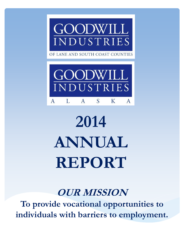

OF LANE AND SOUTH COAST COUNTIES



# **2014 ANNUAL REPORT**

# **OUR MISSION**

**To provide vocational opportunities to individuals with barriers to employment.**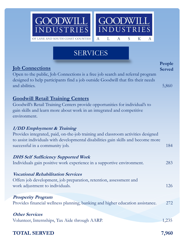

# SERVICES

## **Job Connections**

Open to the public, Job Connections is a free job search and referral program designed to help participants find a job outside Goodwill that fits their needs and abilities. 5,860

## **Goodwill Retail Training Centers**

Goodwill's Retail Training Centers provide opportunities for individual's to gain skills and learn more about work in an integrated and competitive environment.

### **I/DD Employment & Training**

Provides integrated, paid, on-the-job training and classroom activities designed to assist individuals with developmental disabilities gain skills and become more successful in a community job. 184

#### **DHS Self Sufficiency Supported Work**

Individuals gain positive work experience in a supportive environment. 283

#### **Vocational Rehabilitation Services**

Offers job development, job preparation, retention, assessment and work adjustment to individuals. 126

#### **Prosperity Program**

Provides financial wellness planning, banking and higher education assistance. 272

#### **Other Services**

Volunteer, Internships, Tax Aide through AARP. 1,235

## **TOTAL SERVED 7,960**

**People Served**

7 R I

K

A

S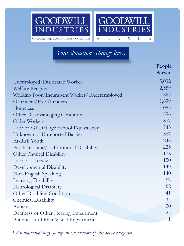

# *Your donations change lives.*

|                                             | People<br><b>Served</b> |
|---------------------------------------------|-------------------------|
| Unemployed/Dislocated Worker                | 5,032                   |
| <b>Welfare Recipient</b>                    | 2,559                   |
| Working Poor/Incumbent Worker/Underemployed | 1,863                   |
| Offenders/Ex-Offenders                      | 1,699                   |
| Homeless                                    | 1,053                   |
| Other Disadvantaging Condition              | 896                     |
| Older Workers                               | 877                     |
| Lack of GED/High School Equivalency         | 743                     |
| Unknown or Unreported Barrier               | 367                     |
| At-Risk Youth                               | 246                     |
| Psychiatric and/or Emotional Disability     | 225                     |
| Other Physical Disability                   | 178                     |
| Lack of Literacy                            | 150                     |
| Developmental Disability                    | 149                     |
| Non-English Speaking                        | 140                     |
| Learning Disability                         | 87                      |
| Neurological Disability                     | 62                      |
| <b>Other Disabling Condition</b>            | 41                      |
| <b>Chemical Disability</b>                  | 35                      |
| Autism                                      | 30                      |
| Deafness or Other Hearing Impairment        | 25                      |
| Blindness or Other Visual Impairment        | 11                      |

\**An individual may qualify in one or more of the above categories.*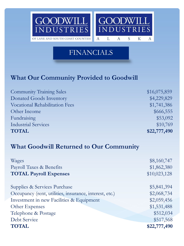

# FINANCIALS

## **What Our Community Provided to Goodwill**

| <b>Community Training Sales</b>       | \$16,075,859 |
|---------------------------------------|--------------|
| <b>Donated Goods Inventory</b>        | \$4,229,829  |
| <b>Vocational Rehabilitation Fees</b> | \$1,741,386  |
| Other Income                          | \$666,555    |
| Fundraising                           | \$53,092     |
| <b>Industrial Services</b>            | \$10,769     |
| <b>TOTAL</b>                          | \$22,777,490 |

## **What Goodwill Returned to Our Community**

| Wages                                                  | \$8,160,747  |
|--------------------------------------------------------|--------------|
| Payroll Taxes & Benefits                               | \$1,862,380  |
| <b>TOTAL Payroll Expenses</b>                          | \$10,023,128 |
| Supplies & Services Purchase                           | \$5,841,394  |
| Occupancy (rent, utilities, insurance, interest, etc.) | \$2,068,734  |
| Investment in new Facilities & Equipment               | \$2,059,456  |
| Other Expenses                                         | \$1,531,488  |
| Telephone & Postage                                    | \$512,034    |
| Debt Service                                           | \$517,568    |
| <b>TOTAL</b>                                           | \$22,777,490 |